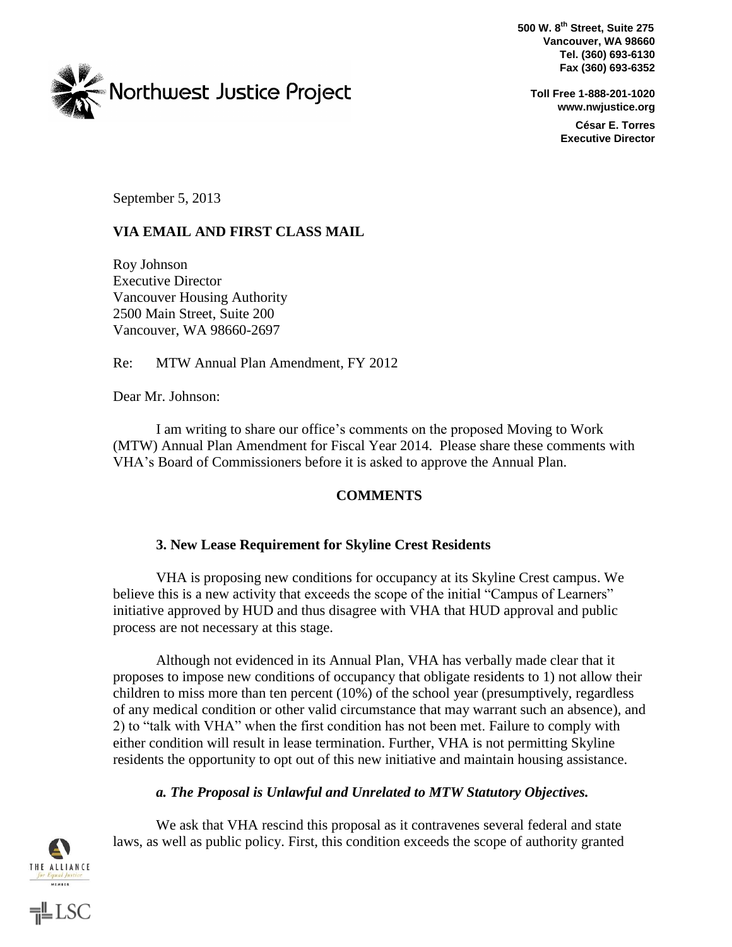**500 W. 8th Street, Suite 275 Vancouver, WA 98660 Tel. (360) 693-6130 Fax (360) 693-6352** 



**Toll Free 1-888-201-1020 www.nwjustice.org César E. Torres Executive Director** 

September 5, 2013

## **VIA EMAIL AND FIRST CLASS MAIL**

Roy Johnson Executive Director Vancouver Housing Authority 2500 Main Street, Suite 200 Vancouver, WA 98660-2697

Re: MTW Annual Plan Amendment, FY 2012

Dear Mr. Johnson:

I am writing to share our office's comments on the proposed Moving to Work (MTW) Annual Plan Amendment for Fiscal Year 2014. Please share these comments with VHA's Board of Commissioners before it is asked to approve the Annual Plan.

### **COMMENTS**

### **3. New Lease Requirement for Skyline Crest Residents**

VHA is proposing new conditions for occupancy at its Skyline Crest campus. We believe this is a new activity that exceeds the scope of the initial "Campus of Learners" initiative approved by HUD and thus disagree with VHA that HUD approval and public process are not necessary at this stage.

Although not evidenced in its Annual Plan, VHA has verbally made clear that it proposes to impose new conditions of occupancy that obligate residents to 1) not allow their children to miss more than ten percent (10%) of the school year (presumptively, regardless of any medical condition or other valid circumstance that may warrant such an absence), and 2) to "talk with VHA" when the first condition has not been met. Failure to comply with either condition will result in lease termination. Further, VHA is not permitting Skyline residents the opportunity to opt out of this new initiative and maintain housing assistance.

# *a. The Proposal is Unlawful and Unrelated to MTW Statutory Objectives.*

THE ALLIANCE **MEMBER** 

 $\equiv$ LSC

We ask that VHA rescind this proposal as it contravenes several federal and state laws, as well as public policy. First, this condition exceeds the scope of authority granted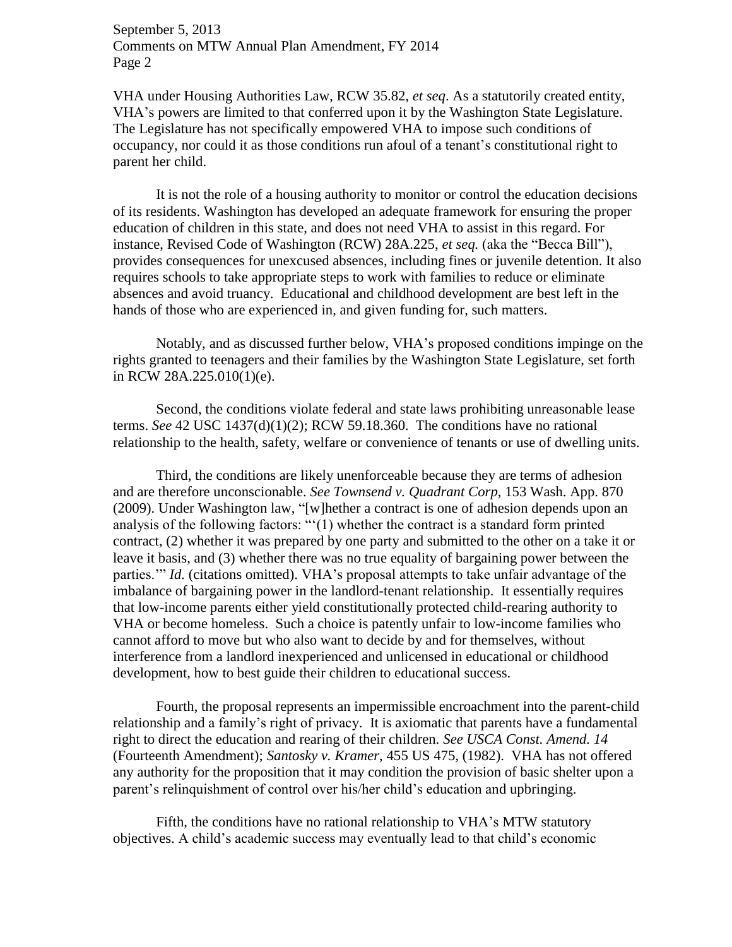September 5, 2013 Comments on MTW Annual Plan Amendment, FY 2014 Page 2

VHA under Housing Authorities Law, RCW 35.82, *et seq*. As a statutorily created entity, VHA's powers are limited to that conferred upon it by the Washington State Legislature. The Legislature has not specifically empowered VHA to impose such conditions of occupancy, nor could it as those conditions run afoul of a tenant's constitutional right to parent her child.

It is not the role of a housing authority to monitor or control the education decisions of its residents. Washington has developed an adequate framework for ensuring the proper education of children in this state, and does not need VHA to assist in this regard. For instance, Revised Code of Washington (RCW) 28A.225, *et seq.* (aka the "Becca Bill"), provides consequences for unexcused absences, including fines or juvenile detention. It also requires schools to take appropriate steps to work with families to reduce or eliminate absences and avoid truancy. Educational and childhood development are best left in the hands of those who are experienced in, and given funding for, such matters.

Notably, and as discussed further below, VHA's proposed conditions impinge on the rights granted to teenagers and their families by the Washington State Legislature, set forth in RCW 28A.225.010(1)(e).

Second, the conditions violate federal and state laws prohibiting unreasonable lease terms. *See* 42 USC 1437(d)(1)(2); RCW 59.18.360. The conditions have no rational relationship to the health, safety, welfare or convenience of tenants or use of dwelling units.

Third, the conditions are likely unenforceable because they are terms of adhesion and are therefore unconscionable. *See Townsend v. Quadrant Corp*, 153 Wash. App. 870 (2009). Under Washington law, "[w]hether a contract is one of adhesion depends upon an analysis of the following factors: "'(1) whether the contract is a standard form printed contract, (2) whether it was prepared by one party and submitted to the other on a take it or leave it basis, and (3) whether there was no true equality of bargaining power between the parties.'" *Id.* (citations omitted). VHA's proposal attempts to take unfair advantage of the imbalance of bargaining power in the landlord-tenant relationship. It essentially requires that low-income parents either yield constitutionally protected child-rearing authority to VHA or become homeless. Such a choice is patently unfair to low-income families who cannot afford to move but who also want to decide by and for themselves, without interference from a landlord inexperienced and unlicensed in educational or childhood development, how to best guide their children to educational success.

Fourth, the proposal represents an impermissible encroachment into the parent-child relationship and a family's right of privacy. It is axiomatic that parents have a fundamental right to direct the education and rearing of their children. *See USCA Const. Amend. 14* (Fourteenth Amendment); *Santosky v. Kramer*, 455 US 475, (1982). VHA has not offered any authority for the proposition that it may condition the provision of basic shelter upon a parent's relinquishment of control over his/her child's education and upbringing.

Fifth, the conditions have no rational relationship to VHA's MTW statutory objectives. A child's academic success may eventually lead to that child's economic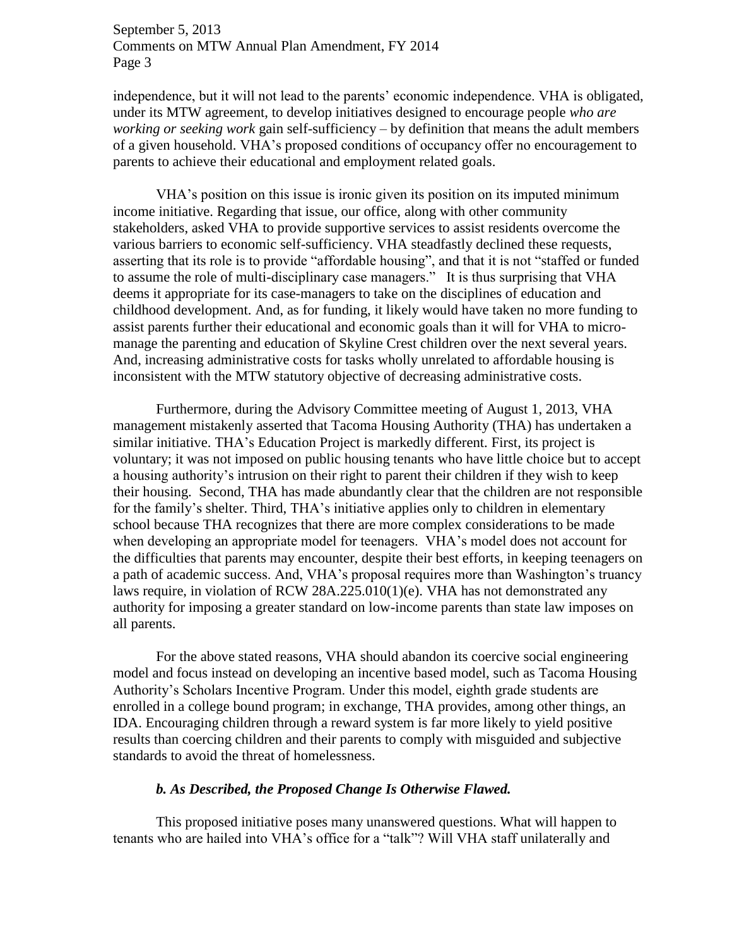September 5, 2013 Comments on MTW Annual Plan Amendment, FY 2014 Page 3

independence, but it will not lead to the parents' economic independence. VHA is obligated, under its MTW agreement, to develop initiatives designed to encourage people *who are working or seeking work* gain self-sufficiency – by definition that means the adult members of a given household. VHA's proposed conditions of occupancy offer no encouragement to parents to achieve their educational and employment related goals.

VHA's position on this issue is ironic given its position on its imputed minimum income initiative. Regarding that issue, our office, along with other community stakeholders, asked VHA to provide supportive services to assist residents overcome the various barriers to economic self-sufficiency. VHA steadfastly declined these requests, asserting that its role is to provide "affordable housing", and that it is not "staffed or funded to assume the role of multi-disciplinary case managers." It is thus surprising that VHA deems it appropriate for its case-managers to take on the disciplines of education and childhood development. And, as for funding, it likely would have taken no more funding to assist parents further their educational and economic goals than it will for VHA to micromanage the parenting and education of Skyline Crest children over the next several years. And, increasing administrative costs for tasks wholly unrelated to affordable housing is inconsistent with the MTW statutory objective of decreasing administrative costs.

Furthermore, during the Advisory Committee meeting of August 1, 2013, VHA management mistakenly asserted that Tacoma Housing Authority (THA) has undertaken a similar initiative. THA's Education Project is markedly different. First, its project is voluntary; it was not imposed on public housing tenants who have little choice but to accept a housing authority's intrusion on their right to parent their children if they wish to keep their housing. Second, THA has made abundantly clear that the children are not responsible for the family's shelter. Third, THA's initiative applies only to children in elementary school because THA recognizes that there are more complex considerations to be made when developing an appropriate model for teenagers. VHA's model does not account for the difficulties that parents may encounter, despite their best efforts, in keeping teenagers on a path of academic success. And, VHA's proposal requires more than Washington's truancy laws require, in violation of RCW 28A.225.010(1)(e). VHA has not demonstrated any authority for imposing a greater standard on low-income parents than state law imposes on all parents.

For the above stated reasons, VHA should abandon its coercive social engineering model and focus instead on developing an incentive based model, such as Tacoma Housing Authority's Scholars Incentive Program. Under this model, eighth grade students are enrolled in a college bound program; in exchange, THA provides, among other things, an IDA. Encouraging children through a reward system is far more likely to yield positive results than coercing children and their parents to comply with misguided and subjective standards to avoid the threat of homelessness.

#### *b. As Described, the Proposed Change Is Otherwise Flawed.*

This proposed initiative poses many unanswered questions. What will happen to tenants who are hailed into VHA's office for a "talk"? Will VHA staff unilaterally and